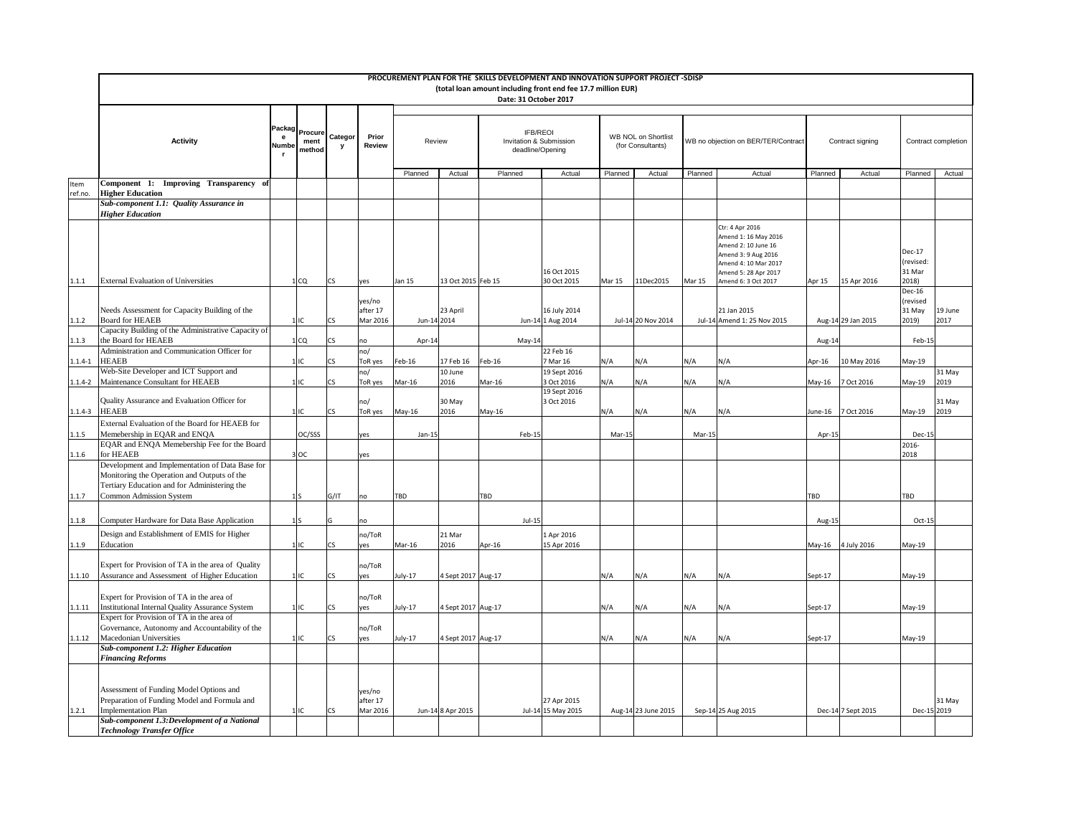|                        |                                                                                                                                                                           |  |                 |                         |                                 |                               |                    |            | PROCUREMENT PLAN FOR THE SKILLS DEVELOPMENT AND INNOVATION SUPPORT PROJECT -SDISP<br>(total loan amount including front end fee 17.7 million EUR)<br>Date: 31 October 2017 |                                                                |                     |                                                 |                                                                                                                                                              |                                     |                    |                                        |                 |                     |
|------------------------|---------------------------------------------------------------------------------------------------------------------------------------------------------------------------|--|-----------------|-------------------------|---------------------------------|-------------------------------|--------------------|------------|----------------------------------------------------------------------------------------------------------------------------------------------------------------------------|----------------------------------------------------------------|---------------------|-------------------------------------------------|--------------------------------------------------------------------------------------------------------------------------------------------------------------|-------------------------------------|--------------------|----------------------------------------|-----------------|---------------------|
|                        | <b>Activity</b>                                                                                                                                                           |  |                 | ment<br>Numbe<br>method | <b>Packag</b> Procure Categor I | <b>Prior</b><br><b>Review</b> | Review             |            |                                                                                                                                                                            | <b>IFB/REOI</b><br>Invitation & Submission<br>deadline/Opening |                     | <b>WB NOL on Shortlist</b><br>(for Consultants) |                                                                                                                                                              | WB no objection on BER/TER/Contract |                    | Contract signing                       |                 | Contract completion |
|                        |                                                                                                                                                                           |  |                 |                         |                                 | Planned                       | Actual             | Planned    | Actual                                                                                                                                                                     | Planned                                                        | Actual              | Planned                                         | Actual                                                                                                                                                       | Planned                             | Actual             | Planned                                | Actual          |                     |
| <b>Item</b><br>ref.no. | Component 1: Improving Transparency of<br><b>Higher Education</b>                                                                                                         |  |                 |                         |                                 |                               |                    |            |                                                                                                                                                                            |                                                                |                     |                                                 |                                                                                                                                                              |                                     |                    |                                        |                 |                     |
|                        | <b>Sub-component 1.1: Quality Assurance in</b>                                                                                                                            |  |                 |                         |                                 |                               |                    |            |                                                                                                                                                                            |                                                                |                     |                                                 |                                                                                                                                                              |                                     |                    |                                        |                 |                     |
|                        | <b>Higher Education</b>                                                                                                                                                   |  |                 |                         |                                 |                               |                    |            |                                                                                                                                                                            |                                                                |                     |                                                 |                                                                                                                                                              |                                     |                    |                                        |                 |                     |
| 1.1.1                  | <b>External Evaluation of Universities</b>                                                                                                                                |  | 1 CQ            | <b>CS</b>               | yes                             | Jan 15                        | 13 Oct 2015 Feb 15 |            | 16 Oct 2015<br>30 Oct 2015                                                                                                                                                 | <b>Mar 15</b>                                                  | 11Dec2015           | Mar 15                                          | Ctr: 4 Apr 2016<br>Amend 1: 16 May 2016<br>Amend 2: 10 June 16<br>Amend 3: 9 Aug 2016<br>Amend 4: 10 Mar 2017<br>Amend 5: 28 Apr 2017<br>Amend 6: 3 Oct 2017 | Apr 15                              | 15 Apr 2016        | Dec-17<br>(revised:<br>31 Mar<br>2018) |                 |                     |
|                        |                                                                                                                                                                           |  |                 |                         |                                 |                               |                    |            |                                                                                                                                                                            |                                                                |                     |                                                 |                                                                                                                                                              |                                     |                    | Dec-16                                 |                 |                     |
| 1.1.2                  | Needs Assessment for Capacity Building of the<br><b>Board for HEAEB</b>                                                                                                   |  | 1 IC            | <b>CS</b>               | yes/no<br>after 17<br>Mar 2016  | Jun-14 2014                   | 23 April           |            | 16 July 2014<br>Jun-14 1 Aug 2014                                                                                                                                          |                                                                | Jul-14 20 Nov 2014  |                                                 | 21 Jan 2015<br>Jul-14 Amend 1: 25 Nov 2015                                                                                                                   |                                     | Aug-14 29 Jan 2015 | (revised<br>31 May<br>2019)            | 19 June<br>2017 |                     |
|                        | Capacity Building of the Administrative Capacity of                                                                                                                       |  |                 |                         |                                 |                               |                    |            |                                                                                                                                                                            |                                                                |                     |                                                 |                                                                                                                                                              |                                     |                    |                                        |                 |                     |
| 1.1.3                  | the Board for HEAEB<br>Administration and Communication Officer for                                                                                                       |  | 1 CQ            | <b>CS</b>               | no<br>no/                       | Apr-14                        |                    | $May-14$   | 22 Feb 16                                                                                                                                                                  |                                                                |                     |                                                 |                                                                                                                                                              | Aug-14                              |                    | Feb-15                                 |                 |                     |
|                        | 1.1.4-1  HEAEB                                                                                                                                                            |  |                 | <b>CS</b>               | ToR yes                         | Feb-16                        | 17 Feb 16   Feb-16 |            | 7 Mar 16                                                                                                                                                                   | N/A                                                            | N/A                 | N/A                                             | N/A                                                                                                                                                          | Apr-16                              | 10 May 2016        | May-19                                 |                 |                     |
|                        | Web-Site Developer and ICT Support and                                                                                                                                    |  |                 |                         | no/                             |                               | 10 June            |            | 19 Sept 2016                                                                                                                                                               |                                                                |                     |                                                 |                                                                                                                                                              |                                     |                    |                                        | 31 May          |                     |
|                        | 1.1.4-2   Maintenance Consultant for HEAEB                                                                                                                                |  | 1 IC            | <b>CS</b>               | ToR yes                         | Mar-16                        | 2016               | Mar-16     | 3 Oct 2016<br>19 Sept 2016                                                                                                                                                 | N/A                                                            | N/A                 | N/A                                             | N/A                                                                                                                                                          | May-16                              | 7 Oct 2016         | May-19                                 | 2019            |                     |
| $1.1.4 - 3$            | Quality Assurance and Evaluation Officer for<br><b>HEAEB</b>                                                                                                              |  | 1 IIC           | <b>CS</b>               | no/<br>ToR yes                  | May-16                        | 30 May<br>2016     | May-16     | 3 Oct 2016                                                                                                                                                                 | N/A                                                            | N/A                 | N/A                                             | N/A                                                                                                                                                          |                                     | June-16 7 Oct 2016 | May-19                                 | 31 May<br>2019  |                     |
|                        | External Evaluation of the Board for HEAEB for                                                                                                                            |  |                 |                         |                                 |                               |                    |            |                                                                                                                                                                            |                                                                |                     |                                                 |                                                                                                                                                              |                                     |                    |                                        |                 |                     |
| 1.1.5                  | Memebership in EQAR and ENQA                                                                                                                                              |  | OC/SSS          |                         | yes                             | $Jan-15$                      |                    | Feb-15     |                                                                                                                                                                            | Mar-15                                                         |                     | Mar-15                                          |                                                                                                                                                              | Apr-15                              |                    | Dec-15                                 |                 |                     |
| 1.1.6                  | EQAR and ENQA Memebership Fee for the Board<br>for HEAEB                                                                                                                  |  | $3$ OC          |                         | yes                             |                               |                    |            |                                                                                                                                                                            |                                                                |                     |                                                 |                                                                                                                                                              |                                     |                    | 2016-<br>2018                          |                 |                     |
| 1.1.7                  | Development and Implementation of Data Base for<br>Monitoring the Operation and Outputs of the<br>Tertiary Education and for Administering the<br>Common Admission System |  | 1 S             | G/IT                    | no                              | <b>TBD</b>                    |                    | <b>TBD</b> |                                                                                                                                                                            |                                                                |                     |                                                 |                                                                                                                                                              | TBD                                 |                    | <b>TBD</b>                             |                 |                     |
|                        |                                                                                                                                                                           |  |                 |                         |                                 |                               |                    |            |                                                                                                                                                                            |                                                                |                     |                                                 |                                                                                                                                                              |                                     |                    |                                        |                 |                     |
| 1.1.8                  | Computer Hardware for Data Base Application                                                                                                                               |  | 1 <sub>IS</sub> |                         | no                              |                               |                    | $Jul-15$   |                                                                                                                                                                            |                                                                |                     |                                                 |                                                                                                                                                              | Aug-15                              |                    | Oct-15                                 |                 |                     |
| 1.1.9                  | Design and Establishment of EMIS for Higher<br>Education                                                                                                                  |  | $1$ IC          | <b>CS</b>               | no/ToR<br>yes                   | Mar-16                        | $21$ Mar<br>2016   | Apr-16     | 1 Apr 2016<br>15 Apr 2016                                                                                                                                                  |                                                                |                     |                                                 |                                                                                                                                                              |                                     | May-16 4 July 2016 | May-19                                 |                 |                     |
|                        | Expert for Provision of TA in the area of Quality                                                                                                                         |  |                 |                         | no/ToR                          |                               |                    |            |                                                                                                                                                                            |                                                                |                     |                                                 |                                                                                                                                                              |                                     |                    |                                        |                 |                     |
| 1.1.10                 | Assurance and Assessment of Higher Education                                                                                                                              |  | 1 IC            | <b>CS</b>               | yes                             | July-17                       | 4 Sept 2017 Aug-17 |            |                                                                                                                                                                            | N/A                                                            | N/A                 | N/A                                             | N/A                                                                                                                                                          | Sept-17                             |                    | May-19                                 |                 |                     |
|                        |                                                                                                                                                                           |  |                 |                         |                                 |                               |                    |            |                                                                                                                                                                            |                                                                |                     |                                                 |                                                                                                                                                              |                                     |                    |                                        |                 |                     |
| 1.1.11                 | Expert for Provision of TA in the area of<br>Institutional Internal Quality Assurance System                                                                              |  | 1 IC            | <b>CS</b>               | no/ToR<br>yes                   | July-17                       | 4 Sept 2017 Aug-17 |            |                                                                                                                                                                            | N/A                                                            | N/A                 | N/A                                             | N/A                                                                                                                                                          | Sept-17                             |                    | May-19                                 |                 |                     |
|                        | Expert for Provision of TA in the area of                                                                                                                                 |  |                 |                         |                                 |                               |                    |            |                                                                                                                                                                            |                                                                |                     |                                                 |                                                                                                                                                              |                                     |                    |                                        |                 |                     |
| 1.1.12                 | Governance, Autonomy and Accountability of the<br>Macedonian Universities                                                                                                 |  | $1$ IC          | CS                      | no/ToR<br>yes                   | July-17                       | 4 Sept 2017 Aug-17 |            |                                                                                                                                                                            | N/A                                                            | N/A                 | N/A                                             | N/A                                                                                                                                                          | Sept-17                             |                    | May-19                                 |                 |                     |
|                        | <b>Sub-component 1.2: Higher Education</b>                                                                                                                                |  |                 |                         |                                 |                               |                    |            |                                                                                                                                                                            |                                                                |                     |                                                 |                                                                                                                                                              |                                     |                    |                                        |                 |                     |
|                        | <b>Financing Reforms</b>                                                                                                                                                  |  |                 |                         |                                 |                               |                    |            |                                                                                                                                                                            |                                                                |                     |                                                 |                                                                                                                                                              |                                     |                    |                                        |                 |                     |
| 1.2.1                  | Assessment of Funding Model Options and<br>Preparation of Funding Model and Formula and<br>Implementation Plan                                                            |  | $1$ IC          | <b>CS</b>               | yes/no<br>after 17<br>Mar 2016  |                               | Jun-14 8 Apr 2015  |            | 27 Apr 2015<br>Jul-14 15 May 2015                                                                                                                                          |                                                                | Aug-14 23 June 2015 |                                                 | Sep-14 25 Aug 2015                                                                                                                                           |                                     | Dec-14 7 Sept 2015 | Dec-15 2019                            | 31 May          |                     |
|                        | <b>Sub-component 1.3: Development of a National</b><br><b>Technology Transfer Office</b>                                                                                  |  |                 |                         |                                 |                               |                    |            |                                                                                                                                                                            |                                                                |                     |                                                 |                                                                                                                                                              |                                     |                    |                                        |                 |                     |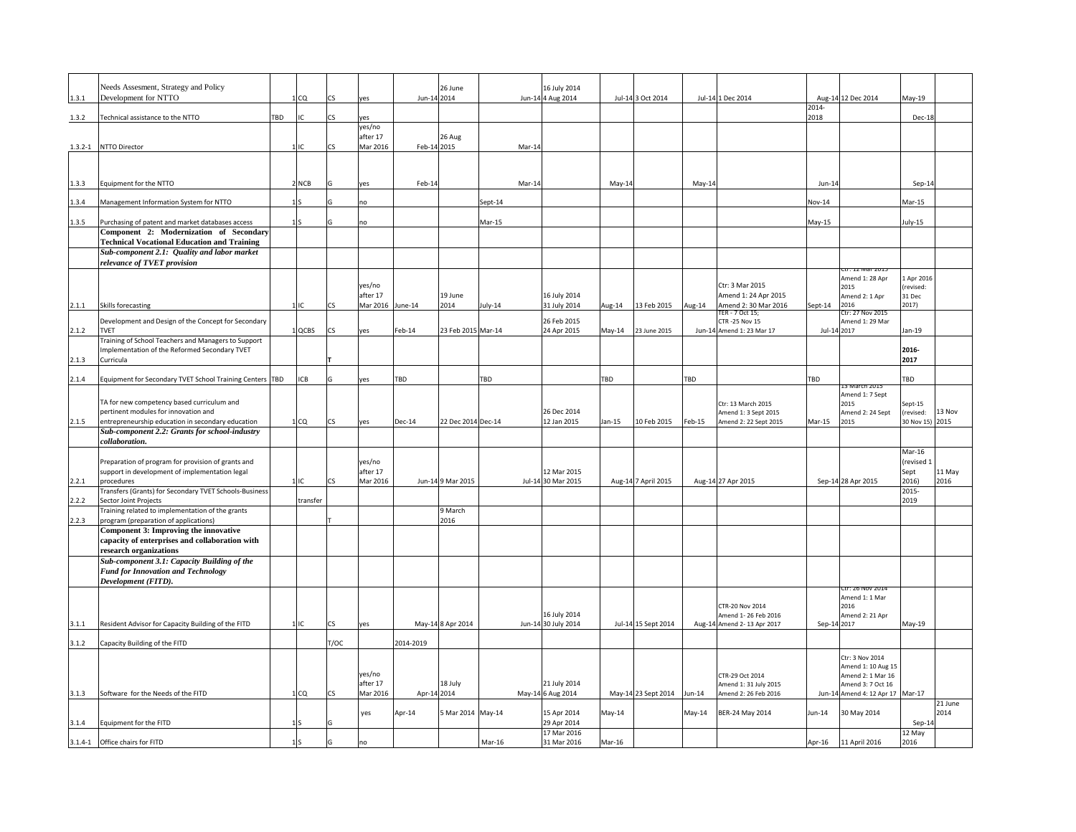|       | Needs Assesment, Strategy and Policy                                                                     |            |           |                      |             | 26 June             |            | 16 July 2014                        |            |                     |          |                                                   |               |                                                       |                    |         |
|-------|----------------------------------------------------------------------------------------------------------|------------|-----------|----------------------|-------------|---------------------|------------|-------------------------------------|------------|---------------------|----------|---------------------------------------------------|---------------|-------------------------------------------------------|--------------------|---------|
| 1.3.1 | Development for NTTO                                                                                     | 1 CQ       | <b>CS</b> | yes                  | Jun-14 2014 |                     |            | Jun-14 4 Aug 2014                   |            | Jul-14 3 Oct 2014   |          | Jul-14 1 Dec 2014                                 | 2014-         | Aug-14 12 Dec 2014                                    | $May-19$           |         |
| 1.3.2 | Technical assistance to the NTTO                                                                         | <b>TBD</b> | <b>CS</b> | yes                  |             |                     |            |                                     |            |                     |          |                                                   | 2018          |                                                       | Dec-18             |         |
|       |                                                                                                          |            |           | yes/no<br>after 17   |             | <b>26 Aug</b>       |            |                                     |            |                     |          |                                                   |               |                                                       |                    |         |
|       | 1.3.2-1 NTTO Director                                                                                    | 1 IC       | <b>CS</b> | Mar 2016             | Feb-14 2015 |                     | Mar-14     |                                     |            |                     |          |                                                   |               |                                                       |                    |         |
|       |                                                                                                          |            |           |                      |             |                     |            |                                     |            |                     |          |                                                   |               |                                                       |                    |         |
|       |                                                                                                          |            |           |                      |             |                     |            |                                     |            |                     |          |                                                   |               |                                                       |                    |         |
| 1.3.3 | Equipment for the NTTO                                                                                   | $2$ NCB    |           | yes                  | Feb-14      |                     | Mar-14     |                                     | $May-14$   |                     | May-14   |                                                   | Jun-14        |                                                       | Sep-14             |         |
| 1.3.4 | Management Information System for NTTO                                                                   | 1 I S      |           | no                   |             |                     | Sept-14    |                                     |            |                     |          |                                                   | <b>Nov-14</b> |                                                       | Mar-15             |         |
| 1.3.5 | Purchasing of patent and market databases access                                                         | 1 S        |           | no                   |             |                     | Mar-15     |                                     |            |                     |          |                                                   | $May-15$      |                                                       | July-15            |         |
|       | Component 2: Modernization of Secondary                                                                  |            |           |                      |             |                     |            |                                     |            |                     |          |                                                   |               |                                                       |                    |         |
|       | <b>Technical Vocational Education and Training</b><br><b>Sub-component 2.1: Quality and labor market</b> |            |           |                      |             |                     |            |                                     |            |                     |          |                                                   |               |                                                       |                    |         |
|       | relevance of TVET provision                                                                              |            |           |                      |             |                     |            |                                     |            |                     |          |                                                   |               |                                                       |                    |         |
|       |                                                                                                          |            |           |                      |             |                     |            |                                     |            |                     |          |                                                   |               | Ctr: 12 Mar 2015<br>Amend 1: 28 Apr                   | 1 Apr 2016         |         |
|       |                                                                                                          |            |           | yes/no<br>after 17   |             | 19 June             |            | 16 July 2014                        |            |                     |          | Ctr: 3 Mar 2015<br>Amend 1: 24 Apr 2015           |               | 2015                                                  | (revised:          |         |
| 2.1.1 | Skills forecasting                                                                                       | 1 IC       | <b>CS</b> | Mar 2016 June-14     |             | 2014                | July-14    | 31 July 2014                        | Aug-14     | 13 Feb 2015         | Aug-14   | Amend 2:30 Mar 2016                               | Sept-14       | Amend 2: 1 Apr<br>2016                                | 31 Dec<br>2017)    |         |
|       | Development and Design of the Concept for Secondary                                                      |            |           |                      |             |                     |            | 26 Feb 2015                         |            |                     |          | TER - 7 Oct 15;<br><b>CTR -25 Nov 15</b>          |               | Ctr: 27 Nov 2015<br>Amend 1: 29 Mar                   |                    |         |
| 2.1.2 | <b>TVET</b>                                                                                              | $1$ QCBS   | <b>CS</b> | yes                  | Feb-14      | 23 Feb 2015 Mar-14  |            | 24 Apr 2015                         | May-14     | 23 June 2015        |          | Jun-14 Amend 1: 23 Mar 17                         | Jul-14 2017   |                                                       | Jan-19             |         |
|       | Training of School Teachers and Managers to Support                                                      |            |           |                      |             |                     |            |                                     |            |                     |          |                                                   |               |                                                       |                    |         |
| 2.1.3 | Implementation of the Reformed Secondary TVET<br>Curricula                                               |            |           |                      |             |                     |            |                                     |            |                     |          |                                                   |               |                                                       | 2016-<br>2017      |         |
|       |                                                                                                          |            |           |                      |             |                     |            |                                     |            |                     |          |                                                   |               |                                                       |                    |         |
| 2.1.4 | Equipment for Secondary TVET School Training Centers TBD                                                 | ICB        | G         | yes                  | TBD         |                     | <b>TBD</b> |                                     | <b>TBD</b> |                     | TBD      |                                                   | TBD           | 13 March 2015                                         | <b>TBD</b>         |         |
|       | TA for new competency based curriculum and                                                               |            |           |                      |             |                     |            |                                     |            |                     |          | Ctr: 13 March 2015                                |               | Amend 1: 7 Sept<br>2015                               | Sept-15            |         |
|       | pertinent modules for innovation and                                                                     |            |           |                      |             |                     |            | 26 Dec 2014                         |            |                     |          | Amend 1: 3 Sept 2015                              |               | Amend 2: 24 Sept                                      | (revised:          | 13 Nov  |
| 2.1.5 | entrepreneurship education in secondary education                                                        | 1 CQ       | <b>CS</b> | yes                  | Dec-14      | 22 Dec 2014 Dec-14  |            | 12 Jan 2015                         | Jan-15     | 10 Feb 2015         | $Feb-15$ | Amend 2: 22 Sept 2015                             | Mar-15        | 2015                                                  | 30 Nov 15) 2015    |         |
|       | <b>Sub-component 2.2: Grants for school-industry</b><br><i>collaboration.</i>                            |            |           |                      |             |                     |            |                                     |            |                     |          |                                                   |               |                                                       |                    |         |
|       |                                                                                                          |            |           |                      |             |                     |            |                                     |            |                     |          |                                                   |               |                                                       | Mar-16             |         |
|       | Preparation of program for provision of grants and<br>support in development of implementation legal     |            |           | yes/no<br>after 17   |             |                     |            | 12 Mar 2015                         |            |                     |          |                                                   |               |                                                       | (revised 1<br>Sept | 11 May  |
| 2.2.1 | procedures                                                                                               | 1 C        | <b>CS</b> | Mar 2016             |             | Jun-14 9 Mar 2015   |            | Jul-14 30 Mar 2015                  |            | Aug-14 7 April 2015 |          | Aug-14 27 Apr 2015                                |               | Sep-14 28 Apr 2015                                    | 2016)              | 2016    |
|       | Transfers (Grants) for Secondary TVET Schools-Business                                                   |            |           |                      |             |                     |            |                                     |            |                     |          |                                                   |               |                                                       | 2015-              |         |
| 2.2.2 | Sector Joint Projects<br>Training related to implementation of the grants                                | transfer   |           |                      |             | 9 March             |            |                                     |            |                     |          |                                                   |               |                                                       | 2019               |         |
| 2.2.3 | program (preparation of applications)                                                                    |            |           |                      |             | 2016                |            |                                     |            |                     |          |                                                   |               |                                                       |                    |         |
|       | <b>Component 3: Improving the innovative</b><br>capacity of enterprises and collaboration with           |            |           |                      |             |                     |            |                                     |            |                     |          |                                                   |               |                                                       |                    |         |
|       | research organizations                                                                                   |            |           |                      |             |                     |            |                                     |            |                     |          |                                                   |               |                                                       |                    |         |
|       | <b>Sub-component 3.1: Capacity Building of the</b><br><b>Fund for Innovation and Technology</b>          |            |           |                      |             |                     |            |                                     |            |                     |          |                                                   |               |                                                       |                    |         |
|       | Development (FITD).                                                                                      |            |           |                      |             |                     |            |                                     |            |                     |          |                                                   |               |                                                       |                    |         |
|       |                                                                                                          |            |           |                      |             |                     |            |                                     |            |                     |          |                                                   |               | Ctr: 26 NOV 2014<br>Amend 1: 1 Mar                    |                    |         |
|       |                                                                                                          |            |           |                      |             |                     |            |                                     |            |                     |          | <b>CTR-20 Nov 2014</b>                            |               | 2016                                                  |                    |         |
| 3.1.1 | Resident Advisor for Capacity Building of the FITD                                                       | 1 C        | <b>CS</b> | yes                  |             | May-14 8 Apr 2014   |            | 16 July 2014<br>Jun-14 30 July 2014 |            | Jul-14 15 Sept 2014 |          | Amend 1-26 Feb 2016<br>Aug-14 Amend 2-13 Apr 2017 | Sep-14 2017   | Amend 2: 21 Apr                                       | $May-19$           |         |
|       |                                                                                                          |            |           |                      |             |                     |            |                                     |            |                     |          |                                                   |               |                                                       |                    |         |
| 3.1.2 | Capacity Building of the FITD                                                                            |            | T/OC      |                      | 2014-2019   |                     |            |                                     |            |                     |          |                                                   |               |                                                       |                    |         |
|       |                                                                                                          |            |           |                      |             |                     |            |                                     |            |                     |          |                                                   |               | Ctr: 3 Nov 2014<br>Amend 1: 10 Aug 15                 |                    |         |
|       |                                                                                                          |            |           | yes/no               |             |                     |            |                                     |            |                     |          | CTR-29 Oct 2014                                   |               | Amend 2: 1 Mar 16                                     |                    |         |
| 3.1.3 | Software for the Needs of the FITD                                                                       | 1 CQ       | <b>CS</b> | after 17<br>Mar 2016 | Apr-14 2014 | 18 July             |            | 21 July 2014<br>May-14 6 Aug 2014   |            | May-14 23 Sept 2014 | $Jun-14$ | Amend 1: 31 July 2015<br>Amend 2: 26 Feb 2016     |               | Amend 3: 7 Oct 16<br>Jun-14 Amend 4: 12 Apr 17 Mar-17 |                    |         |
|       |                                                                                                          |            |           |                      |             |                     |            |                                     |            |                     |          |                                                   |               |                                                       |                    | 21 June |
|       |                                                                                                          |            |           | yes                  | Apr-14      | 5 Mar 2014   May-14 |            | 15 Apr 2014                         | May-14     |                     | $May-14$ | BER-24 May 2014                                   | Jun-14        | 30 May 2014                                           |                    | 2014    |
| 3.1.4 | Equipment for the FITD                                                                                   | 1 S        |           |                      |             |                     |            | 29 Apr 2014<br>17 Mar 2016          |            |                     |          |                                                   |               |                                                       | Sep-14<br>12 May   |         |
|       | 3.1.4-1 <b>Office chairs for FITD</b>                                                                    | LJS        |           | no                   |             |                     | Mar-16     | 31 Mar 2016                         | Mar-16     |                     |          |                                                   | Apr-16        | 11 April 2016                                         | 2016               |         |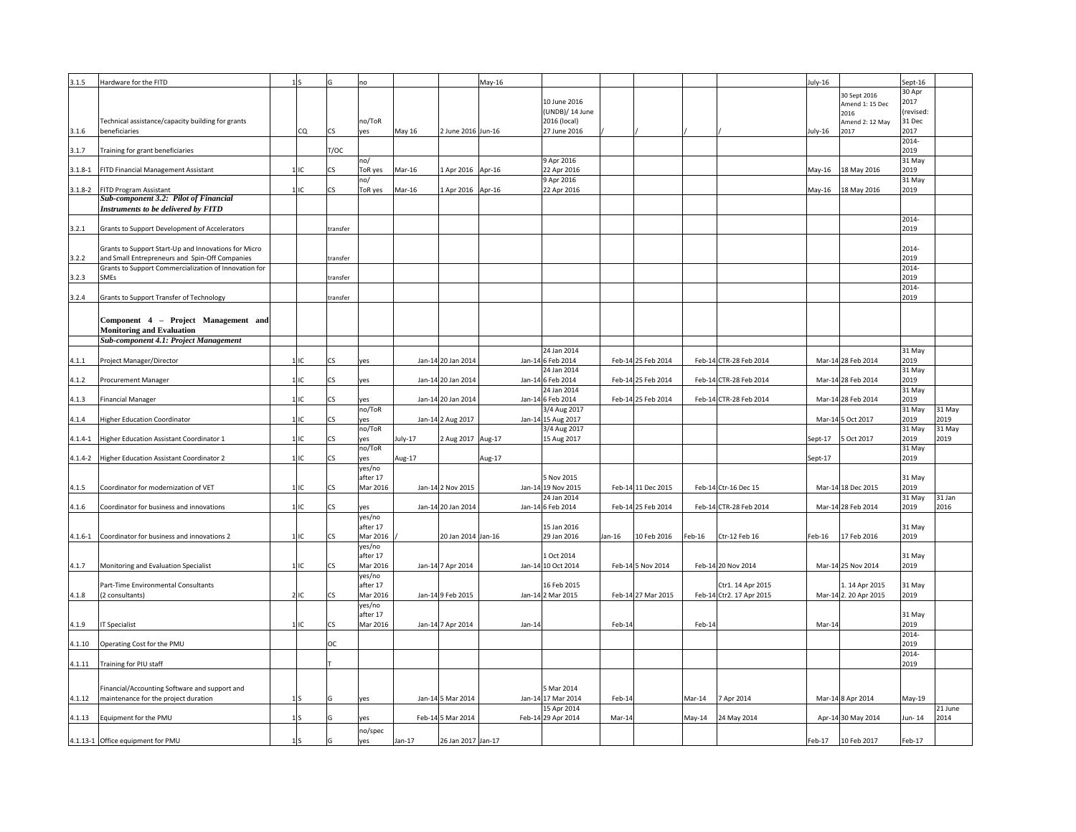| 3.1.5       | Hardware for the FITD                                                            | 1S        |           | no                 |               |                    | May-16 |          |                                   |          |                    |          |                          | July-16 |                         | Sept-16             |         |
|-------------|----------------------------------------------------------------------------------|-----------|-----------|--------------------|---------------|--------------------|--------|----------|-----------------------------------|----------|--------------------|----------|--------------------------|---------|-------------------------|---------------------|---------|
|             |                                                                                  |           |           |                    |               |                    |        |          |                                   |          |                    |          |                          |         | 30 Sept 2016            | 30 Apr              |         |
|             |                                                                                  |           |           |                    |               |                    |        |          | 10 June 2016                      |          |                    |          |                          |         | Amend 1: 15 Dec         | 2017                |         |
|             | Technical assistance/capacity building for grants                                |           |           | no/ToR             |               |                    |        |          | (UNDB)/ 14 June<br>2016 (local)   |          |                    |          |                          |         | 2016                    | (revised:<br>31 Dec |         |
| 3.1.6       | beneficiaries                                                                    | <b>CQ</b> | <b>CS</b> | yes                | <b>May 16</b> | 2 June 2016 Jun-16 |        |          | 27 June 2016                      |          |                    |          |                          | July-16 | Amend 2: 12 May<br>2017 | 2017                |         |
|             |                                                                                  |           |           |                    |               |                    |        |          |                                   |          |                    |          |                          |         |                         | 2014-               |         |
| 3.1.7       | Training for grant beneficiaries                                                 |           | T/OC      |                    |               |                    |        |          |                                   |          |                    |          |                          |         |                         | 2019                |         |
|             |                                                                                  |           |           | no/                |               |                    |        |          | 9 Apr 2016                        |          |                    |          |                          |         |                         | 31 May              |         |
| $3.1.8 - 1$ | <b>FITD Financial Management Assistant</b>                                       | $1$ IIC   | <b>CS</b> | ToR yes            | Mar-16        | 1 Apr 2016 Apr-16  |        |          | 22 Apr 2016                       |          |                    |          |                          |         | May-16   18 May 2016    | 2019                |         |
|             |                                                                                  |           |           | no/                |               |                    |        |          | 9 Apr 2016                        |          |                    |          |                          |         |                         | 31 May              |         |
|             | 3.1.8-2   FITD Program Assistant<br><b>Sub-component 3.2: Pilot of Financial</b> | 1 IC      | <b>CS</b> | ToR yes            | Mar-16        | 1 Apr 2016 Apr-16  |        |          | 22 Apr 2016                       |          |                    |          |                          |         | May-16   18 May 2016    | 2019                |         |
|             | Instruments to be delivered by FITD                                              |           |           |                    |               |                    |        |          |                                   |          |                    |          |                          |         |                         |                     |         |
|             |                                                                                  |           |           |                    |               |                    |        |          |                                   |          |                    |          |                          |         |                         | 2014-               |         |
| 3.2.1       | Grants to Support Development of Accelerators                                    |           | transfer  |                    |               |                    |        |          |                                   |          |                    |          |                          |         |                         | 2019                |         |
|             |                                                                                  |           |           |                    |               |                    |        |          |                                   |          |                    |          |                          |         |                         |                     |         |
|             | Grants to Support Start-Up and Innovations for Micro                             |           |           |                    |               |                    |        |          |                                   |          |                    |          |                          |         |                         | 2014-               |         |
| 3.2.2       | and Small Entrepreneurs and Spin-Off Companies                                   |           | transfer  |                    |               |                    |        |          |                                   |          |                    |          |                          |         |                         | 2019                |         |
| 3.2.3       | Grants to Support Commercialization of Innovation for<br><b>SMEs</b>             |           | transfer  |                    |               |                    |        |          |                                   |          |                    |          |                          |         |                         | 2014-<br>2019       |         |
|             |                                                                                  |           |           |                    |               |                    |        |          |                                   |          |                    |          |                          |         |                         | 2014-               |         |
| 3.2.4       | Grants to Support Transfer of Technology                                         |           | transfer  |                    |               |                    |        |          |                                   |          |                    |          |                          |         |                         | 2019                |         |
|             |                                                                                  |           |           |                    |               |                    |        |          |                                   |          |                    |          |                          |         |                         |                     |         |
|             | Component 4 – Project Management and                                             |           |           |                    |               |                    |        |          |                                   |          |                    |          |                          |         |                         |                     |         |
|             | <b>Monitoring and Evaluation</b>                                                 |           |           |                    |               |                    |        |          |                                   |          |                    |          |                          |         |                         |                     |         |
|             | <b>Sub-component 4.1: Project Management</b>                                     |           |           |                    |               |                    |        |          |                                   |          |                    |          |                          |         |                         |                     |         |
|             |                                                                                  |           |           |                    |               |                    |        |          | 24 Jan 2014                       |          |                    |          |                          |         |                         | 31 May              |         |
| 4.1.1       | Project Manager/Director                                                         | $1$ IIC   | <b>CS</b> | yes                |               | Jan-14 20 Jan 2014 |        |          | Jan-14 6 Feb 2014                 |          | Feb-14 25 Feb 2014 |          | Feb-14 CTR-28 Feb 2014   |         | Mar-14 28 Feb 2014      | 2019                |         |
|             |                                                                                  |           |           |                    |               |                    |        |          | 24 Jan 2014                       |          |                    |          |                          |         |                         | 31 May              |         |
| 4.1.2       | Procurement Manager                                                              | $1$ IC    | <b>CS</b> | yes                |               | Jan-14 20 Jan 2014 |        |          | Jan-14 6 Feb 2014                 |          | Feb-14 25 Feb 2014 |          | Feb-14 CTR-28 Feb 2014   |         | Mar-14 28 Feb 2014      | 2019                |         |
|             |                                                                                  |           |           |                    |               |                    |        |          | 24 Jan 2014                       |          |                    |          |                          |         |                         | 31 May              |         |
| 4.1.3       | <b>Financial Manager</b>                                                         | $1$ IC    | CS        | yes<br>no/ToR      |               | Jan-14 20 Jan 2014 |        |          | Jan-14 6 Feb 2014<br>3/4 Aug 2017 |          | Feb-14 25 Feb 2014 |          | Feb-14 CTR-28 Feb 2014   |         | Mar-14 28 Feb 2014      | 2019<br>31 May      | 31 May  |
| 4.1.4       | Higher Education Coordinator                                                     | $1$ IC    | <b>CS</b> | yes                |               | Jan-14 2 Aug 2017  |        |          | Jan-14 15 Aug 2017                |          |                    |          |                          |         | Mar-14 5 Oct 2017       | 2019                | 2019    |
|             |                                                                                  |           |           | no/ToR             |               |                    |        |          | $\sqrt{3}/4$ Aug 2017             |          |                    |          |                          |         |                         | 31 May              | 31 May  |
|             | 4.1.4-1 Higher Education Assistant Coordinator 1                                 | $1$ IC    | <b>CS</b> | yes                | July-17       | 2 Aug 2017 Aug-17  |        |          | 15 Aug 2017                       |          |                    |          |                          | Sept-17 | 5 Oct 2017              | 2019                | 2019    |
|             |                                                                                  |           |           | no/ToR             |               |                    |        |          |                                   |          |                    |          |                          |         |                         | 31 May              |         |
|             | 4.1.4-2   Higher Education Assistant Coordinator 2                               | $1$ IC    | <b>CS</b> | yes                | Aug-17        |                    | Aug-17 |          |                                   |          |                    |          |                          | Sept-17 |                         | 2019                |         |
|             |                                                                                  |           |           | yes/no             |               |                    |        |          |                                   |          |                    |          |                          |         |                         |                     |         |
|             |                                                                                  |           |           | after 17           |               |                    |        |          | 5 Nov 2015                        |          |                    |          |                          |         |                         | 31 May              |         |
| 4.1.5       | Coordinator for modernization of VET                                             | 1IC       | <b>CS</b> | Mar 2016           |               | Jan-14 2 Nov 2015  |        |          | Jan-14 19 Nov 2015<br>24 Jan 2014 |          | Feb-14 11 Dec 2015 |          | Feb-14 Ctr-16 Dec 15     |         | Mar-14 18 Dec 2015      | 2019<br>31 May      | 31 Jan  |
| 4.1.6       | Coordinator for business and innovations                                         | $1$ IC    | <b>CS</b> | yes                |               | Jan-14 20 Jan 2014 |        |          | Jan-14 6 Feb 2014                 |          | Feb-14 25 Feb 2014 |          | Feb-14 CTR-28 Feb 2014   |         | Mar-14 28 Feb 2014      | 2019                | 2016    |
|             |                                                                                  |           |           | yes/no             |               |                    |        |          |                                   |          |                    |          |                          |         |                         |                     |         |
|             |                                                                                  |           |           | after 17           |               |                    |        |          | 15 Jan 2016                       |          |                    |          |                          |         |                         | 31 May              |         |
|             | [4.1.6-1 Coordinator for business and innovations 2                              | 1IC       | <b>CS</b> | Mar 2016           |               | 20 Jan 2014 Jan-16 |        |          | 29 Jan 2016                       | $Jan-16$ | 10 Feb 2016        | $Feb-16$ | Ctr-12 Feb 16            | Feb-16  | 17 Feb 2016             | 2019                |         |
|             |                                                                                  |           |           | yes/no             |               |                    |        |          |                                   |          |                    |          |                          |         |                         |                     |         |
|             |                                                                                  |           |           | after 17           |               |                    |        |          | 1 Oct 2014                        |          |                    |          |                          |         |                         | 31 May              |         |
| 4.1.7       | Monitoring and Evaluation Specialist                                             | $1$ IC    | <b>CS</b> | Mar 2016           |               | Jan-14 7 Apr 2014  |        |          | Jan-14 10 Oct 2014                |          | Feb-14 5 Nov 2014  |          | Feb-14 20 Nov 2014       |         | Mar-14 25 Nov 2014      | 2019                |         |
|             | Part-Time Environmental Consultants                                              |           |           | yes/no<br>after 17 |               |                    |        |          | 16 Feb 2015                       |          |                    |          | Ctr1. 14 Apr 2015        |         | 1.14 Apr 2015           | 31 May              |         |
| 4.1.8       | (2 consultants)                                                                  | 2IC       | <b>CS</b> | Mar 2016           |               | Jan-149 Feb 2015   |        |          | Jan-14 2 Mar 2015                 |          | Feb-14 27 Mar 2015 |          | Feb-14 Ctr2. 17 Apr 2015 |         | Mar-14 2. 20 Apr 2015   | 2019                |         |
|             |                                                                                  |           |           | yes/no             |               |                    |        |          |                                   |          |                    |          |                          |         |                         |                     |         |
|             |                                                                                  |           |           | after 17           |               |                    |        |          |                                   |          |                    |          |                          |         |                         | 31 May              |         |
| 4.1.9       | <b>IT Specialist</b>                                                             | 1 IC      | <b>CS</b> | Mar 2016           |               | Jan-14 7 Apr 2014  |        | $Jan-14$ |                                   | Feb-14   |                    | Feb-14   |                          | Mar-14  |                         | 2019                |         |
|             |                                                                                  |           |           |                    |               |                    |        |          |                                   |          |                    |          |                          |         |                         | 2014-               |         |
|             | 4.1.10 <b>Operating Cost for the PMU</b>                                         |           | OC        |                    |               |                    |        |          |                                   |          |                    |          |                          |         |                         | 2019                |         |
|             | 4.1.11   Training for PIU staff                                                  |           |           |                    |               |                    |        |          |                                   |          |                    |          |                          |         |                         | 2014-<br>2019       |         |
|             |                                                                                  |           |           |                    |               |                    |        |          |                                   |          |                    |          |                          |         |                         |                     |         |
|             |                                                                                  |           |           |                    |               |                    |        |          |                                   |          |                    |          |                          |         |                         |                     |         |
|             | Financial/Accounting Software and support and                                    |           |           |                    |               |                    |        |          | 5 Mar 2014                        |          |                    |          |                          |         |                         |                     |         |
| 4.1.12      | maintenance for the project duration                                             | 1S        |           | yes                |               | Jan-14 5 Mar 2014  |        |          | Jan-14 17 Mar 2014                | Feb-14   |                    | Mar-14   | 7 Apr 2014               |         | Mar-14 8 Apr 2014       | $May-19$            | 21 June |
| 4.1.13      | Equipment for the PMU                                                            | 1S        |           | yes                |               | Feb-14 5 Mar 2014  |        |          | 15 Apr 2014<br>Feb-14 29 Apr 2014 | Mar-14   |                    | May-14   | 24 May 2014              |         | Apr-14 30 May 2014      | Jun-14              | 2014    |
|             |                                                                                  |           |           |                    |               |                    |        |          |                                   |          |                    |          |                          |         |                         |                     |         |
|             | 4.1.13-1 Office equipment for PMU                                                | 1S        |           | no/spec<br>yes     | $Jan-17$      | 26 Jan 2017 Jan-17 |        |          |                                   |          |                    |          |                          | Feb-17  | 10 Feb 2017             | Feb-17              |         |
|             |                                                                                  |           |           |                    |               |                    |        |          |                                   |          |                    |          |                          |         |                         |                     |         |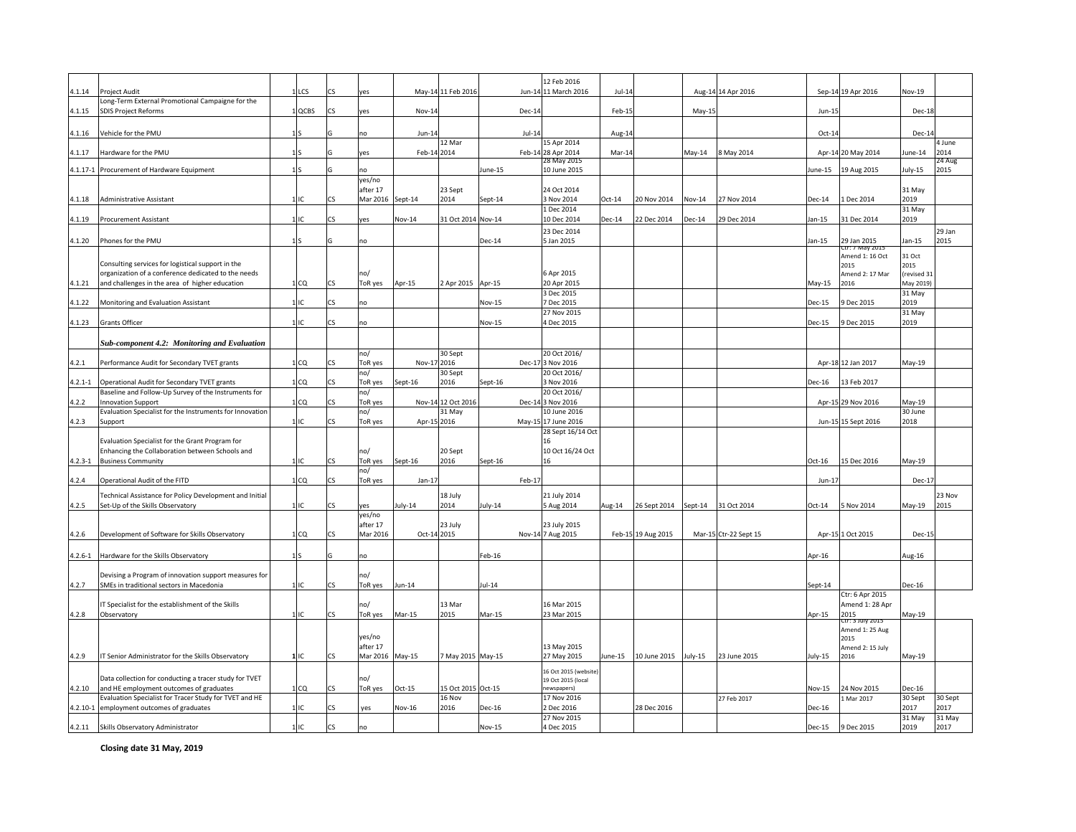|             |                                                                                                               |                  |                          |                      |               |                     |               | 12 Feb 2016                                 |          |                    |                    |                       |               |                                |                     |                |
|-------------|---------------------------------------------------------------------------------------------------------------|------------------|--------------------------|----------------------|---------------|---------------------|---------------|---------------------------------------------|----------|--------------------|--------------------|-----------------------|---------------|--------------------------------|---------------------|----------------|
| 4.1.14      | <b>Project Audit</b><br>Long-Term External Promotional Campaigne for the                                      | $1$ LCS          | <b>CS</b>                | yes                  |               | May-14 11 Feb 2016  |               | Jun-14 11 March 2016                        | Jul-14   |                    |                    | Aug-14 14 Apr 2016    |               | Sep-14 19 Apr 2016             | <b>Nov-19</b>       |                |
| 4.1.15      | <b>SDIS Project Reforms</b>                                                                                   | $1$ QCBS         | <b>CS</b>                | yes                  | <b>Nov-14</b> |                     | Dec-14        |                                             | Feb-15   |                    | $May-15$           |                       | Jun-15        |                                | Dec-18              |                |
| 4.1.16      | Vehicle for the PMU                                                                                           | 1IS              |                          |                      | Jun-14        |                     | $Jul-14$      |                                             | Aug-14   |                    |                    |                       | Oct-14        |                                | Dec-14              |                |
|             |                                                                                                               |                  |                          | no                   |               | 12 Mar              |               | 15 Apr 2014                                 |          |                    |                    |                       |               |                                |                     | 4 June         |
| 4.1.17      | Hardware for the PMU                                                                                          | 1 I S            |                          | yes                  | Feb-14 2014   |                     |               | Feb-14 28 Apr 2014                          | Mar-14   |                    | May-14             | 8 May 2014            |               | Apr-14 20 May 2014             | June-14             | 2014           |
|             | 4.1.17-1 Procurement of Hardware Equipment                                                                    | 1S               |                          | no                   |               |                     | June-15       | 28 May 2015<br>10 June 2015                 |          |                    |                    |                       |               | June-15   19 Aug 2015          | July-15             | 24 Aug<br>2015 |
|             |                                                                                                               |                  |                          | yes/no               |               |                     |               |                                             |          |                    |                    |                       |               |                                |                     |                |
|             |                                                                                                               |                  |                          | after 17             |               | 23 Sept             |               | 24 Oct 2014                                 |          |                    |                    |                       |               |                                | 31 May              |                |
| 4.1.18      | Administrative Assistant                                                                                      |                  | <b>CS</b>                | Mar 2016 Sept-14     |               | 2014                | Sept-14       | 3 Nov 2014<br>1 Dec 2014                    | $Oct-14$ | 20 Nov 2014        | $Nov-14$           | 27 Nov 2014           | Dec-14        | 1 Dec 2014                     | 2019<br>31 May      |                |
| 4.1.19      | <b>Procurement Assistant</b>                                                                                  |                  | CS                       | yes                  | <b>Nov-14</b> | 31 Oct 2014 Nov-14  |               | 10 Dec 2014                                 | $Dec-14$ | 22 Dec 2014        | $Dec-14$           | 29 Dec 2014           | $Jan-15$      | 31 Dec 2014                    | 2019                |                |
|             |                                                                                                               |                  |                          |                      |               |                     |               | 23 Dec 2014                                 |          |                    |                    |                       |               |                                |                     | 29 Jan         |
| 4.1.20      | Phones for the PMU                                                                                            | 1S               |                          | no                   |               |                     | $Dec-14$      | 5 Jan 2015                                  |          |                    |                    |                       | Jan-15        | 29 Jan 2015<br>Ctr: 7 May 2015 | Jan-15              | 2015           |
|             | Consulting services for logistical support in the                                                             |                  |                          |                      |               |                     |               |                                             |          |                    |                    |                       |               | Amend 1: 16 Oct                | 31 Oct              |                |
|             | organization of a conference dedicated to the needs                                                           |                  |                          | no/                  |               |                     |               | 6 Apr 2015                                  |          |                    |                    |                       |               | 2015<br>Amend 2: 17 Mar        | 2015<br>(revised 31 |                |
| 4.1.21      | and challenges in the area of higher education                                                                | 1 CQ             | <b>CS</b>                | ToR yes              | $Apr-15$      | 2 Apr 2015   Apr-15 |               | 20 Apr 2015                                 |          |                    |                    |                       | $May-15$      | 2016                           | May 2019)           |                |
| 4.1.22      | Monitoring and Evaluation Assistant                                                                           |                  | $\mathsf{CS}\phantom{0}$ | no                   |               |                     | <b>Nov-15</b> | 3 Dec 2015<br>7 Dec 2015                    |          |                    |                    |                       | $Dec-15$      | 9 Dec 2015                     | 31 May<br>2019      |                |
|             |                                                                                                               |                  |                          |                      |               |                     |               | 27 Nov 2015                                 |          |                    |                    |                       |               |                                | 31 May              |                |
| 4.1.23      | <b>Grants Officer</b>                                                                                         | 111              | <b>CS</b>                | no                   |               |                     | Nov-15        | 4 Dec 2015                                  |          |                    |                    |                       | $Dec-15$      | 9 Dec 2015                     | 2019                |                |
|             |                                                                                                               |                  |                          |                      |               |                     |               |                                             |          |                    |                    |                       |               |                                |                     |                |
|             | <b>Sub-component 4.2: Monitoring and Evaluation</b>                                                           |                  |                          | no/                  |               | 30 Sept             |               | 20 Oct 2016/                                |          |                    |                    |                       |               |                                |                     |                |
| 4.2.1       | Performance Audit for Secondary TVET grants                                                                   | 1 <sub>ICQ</sub> | ICS.                     | ToR yes              | Nov-17 2016   |                     |               | Dec-17 3 Nov 2016                           |          |                    |                    |                       |               | Apr-18 12 Jan 2017             | $May-19$            |                |
|             |                                                                                                               |                  |                          | no/                  |               | 30 Sept             |               | 20 Oct 2016/                                |          |                    |                    |                       |               |                                |                     |                |
|             | 4.2.1-1   Operational Audit for Secondary TVET grants<br>Baseline and Follow-Up Survey of the Instruments for | 1 CQ             | <b>CS</b>                | ToR yes<br>no/       | Sept-16       | 2016                | Sept-16       | 3 Nov 2016<br>20 Oct 2016/                  |          |                    |                    |                       | <b>Dec-16</b> | 13 Feb 2017                    |                     |                |
| 4.2.2       | <b>Innovation Support</b>                                                                                     | 1 CQ             | <b>CS</b>                | ToR yes              |               | Nov-14 12 Oct 2016  |               | Dec-14 3 Nov 2016                           |          |                    |                    |                       |               | Apr-15 29 Nov 2016             | May-19              |                |
|             | Evaluation Specialist for the Instruments for Innovation                                                      |                  |                          | no/                  |               | $31$ May            |               | 10 June 2016                                |          |                    |                    |                       |               |                                | 30 June             |                |
| 4.2.3       | Support                                                                                                       | $1$ IC           | <b>CS</b>                | ToR yes              | Apr-15 2016   |                     |               | May-15 17 June 2016<br>28 Sept 16/14 Oct    |          |                    |                    |                       |               | Jun-15 15 Sept 2016            | 2018                |                |
|             | Evaluation Specialist for the Grant Program for                                                               |                  |                          |                      |               |                     |               |                                             |          |                    |                    |                       |               |                                |                     |                |
|             | Enhancing the Collaboration between Schools and                                                               |                  |                          | no/                  |               | 20 Sept             |               | 10 Oct 16/24 Oct                            |          |                    |                    |                       |               |                                |                     |                |
| $4.2.3 - 1$ | <b>Business Community</b>                                                                                     | $1$ IC           | <b>CS</b>                | ToR yes<br>no/       | Sept-16       | 2016                | Sept-16       | 16                                          |          |                    |                    |                       | Oct-16        | 15 Dec 2016                    | $May-19$            |                |
| 4.2.4       | Operational Audit of the FITD                                                                                 | 1 CQ             | <b>CS</b>                | ToR yes              | $Jan-17$      |                     | Feb-17        |                                             |          |                    |                    |                       | Jun-17        |                                | Dec-17              |                |
|             | Technical Assistance for Policy Development and Initial                                                       |                  |                          |                      |               | 18 July             |               | 21 July 2014                                |          |                    |                    |                       |               |                                |                     | 23 Nov         |
| 4.2.5       | Set-Up of the Skills Observatory                                                                              | $1$ IC           | <b>CS</b>                | yes                  | July-14       | 2014                | July-14       | 5 Aug 2014                                  | Aug-14   | 26 Sept 2014       | $\textsf{Sept-14}$ | 31 Oct 2014           | $Oct-14$      | 5 Nov 2014                     | May-19              | 2015           |
|             |                                                                                                               |                  |                          | yes/no               |               |                     |               |                                             |          |                    |                    |                       |               |                                |                     |                |
| 4.2.6       | Development of Software for Skills Observatory                                                                | 1 CQ             | <b>CS</b>                | after 17<br>Mar 2016 | Oct-14 2015   | $23$ July           |               | 23 July 2015<br>Nov-14 7 Aug 2015           |          | Feb-15 19 Aug 2015 |                    | Mar-15 Ctr-22 Sept 15 |               | Apr-15 1 Oct 2015              | Dec-15              |                |
|             |                                                                                                               |                  |                          |                      |               |                     |               |                                             |          |                    |                    |                       |               |                                |                     |                |
|             | 4.2.6-1 Hardware for the Skills Observatory                                                                   | 1lS              |                          | no                   |               |                     | $Feb-16$      |                                             |          |                    |                    |                       | Apr-16        |                                | Aug-16              |                |
|             | Devising a Program of innovation support measures for                                                         |                  |                          | no/                  |               |                     |               |                                             |          |                    |                    |                       |               |                                |                     |                |
| 4.2.7       | SMEs in traditional sectors in Macedonia                                                                      | $1$ IC           | <b>CS</b>                | ToR yes              | $Jun-14$      |                     | $Jul-14$      |                                             |          |                    |                    |                       | Sept-14       |                                | Dec-16              |                |
|             |                                                                                                               |                  |                          |                      |               |                     |               |                                             |          |                    |                    |                       |               | Ctr: 6 Apr 2015                |                     |                |
| 4.2.8       | IT Specialist for the establishment of the Skills<br>Observatory                                              | 1 IC             | <b>CS</b>                | no/<br>ToR yes       | Mar-15        | 13 Mar<br>2015      | Mar-15        | 16 Mar 2015<br>23 Mar 2015                  |          |                    |                    |                       | Apr-15        | Amend 1: 28 Apr<br>2015        | May-19              |                |
|             |                                                                                                               |                  |                          |                      |               |                     |               |                                             |          |                    |                    |                       |               | Ctr: 3 July 2015               |                     |                |
|             |                                                                                                               |                  |                          | yes/no               |               |                     |               |                                             |          |                    |                    |                       |               | Amend 1: 25 Aug<br>2015        |                     |                |
|             |                                                                                                               |                  |                          | after 17             |               |                     |               | 13 May 2015                                 |          |                    |                    |                       |               | Amend 2: 15 July               |                     |                |
| 4.2.9       | IT Senior Administrator for the Skills Observatory                                                            | $1$ IC           | <b>CS</b>                | Mar 2016 May-15      |               | 7 May 2015 May-15   |               | 27 May 2015                                 | June-15  | 10 June 2015       | July-15            | 23 June 2015          | July-15       | 2016                           | May-19              |                |
|             | Data collection for conducting a tracer study for TVET                                                        |                  |                          | no/                  |               |                     |               | 16 Oct 2015 (website)<br>19 Oct 2015 (local |          |                    |                    |                       |               |                                |                     |                |
|             | $\vert 4.2.10 \vert$ and HE employment outcomes of graduates                                                  | 1 CQ             | <b>CS</b>                | ToR yes              | $Oct-15$      | 15 Oct 2015 Oct-15  |               | newspapers)                                 |          |                    |                    |                       | <b>Nov-15</b> | 24 Nov 2015                    | $Dec-16$            |                |
|             | Evaluation Specialist for Tracer Study for TVET and HE                                                        |                  |                          |                      |               | 16 Nov              |               | 17 Nov 2016                                 |          |                    |                    | 27 Feb 2017           |               | 1 Mar 2017                     | 30 Sept             | 30 Sept        |
|             | 4.2.10-1 employment outcomes of graduates                                                                     | 1 C              | <b>CS</b>                | yes                  | $Nov-16$      | 2016                | <b>Dec-16</b> | 2 Dec 2016<br>27 Nov 2015                   |          | 28 Dec 2016        |                    |                       | Dec-16        |                                | 2017<br>31 May      | 2017<br>31 May |
|             | 4.2.11 Skills Observatory Administrator                                                                       | 1 IC             | <b>CS</b>                | no                   |               |                     | <b>Nov-15</b> | 4 Dec 2015                                  |          |                    |                    |                       | Dec-15        | 9 Dec 2015                     | 2019                | 2017           |

**Closing date 31 May, 2019**